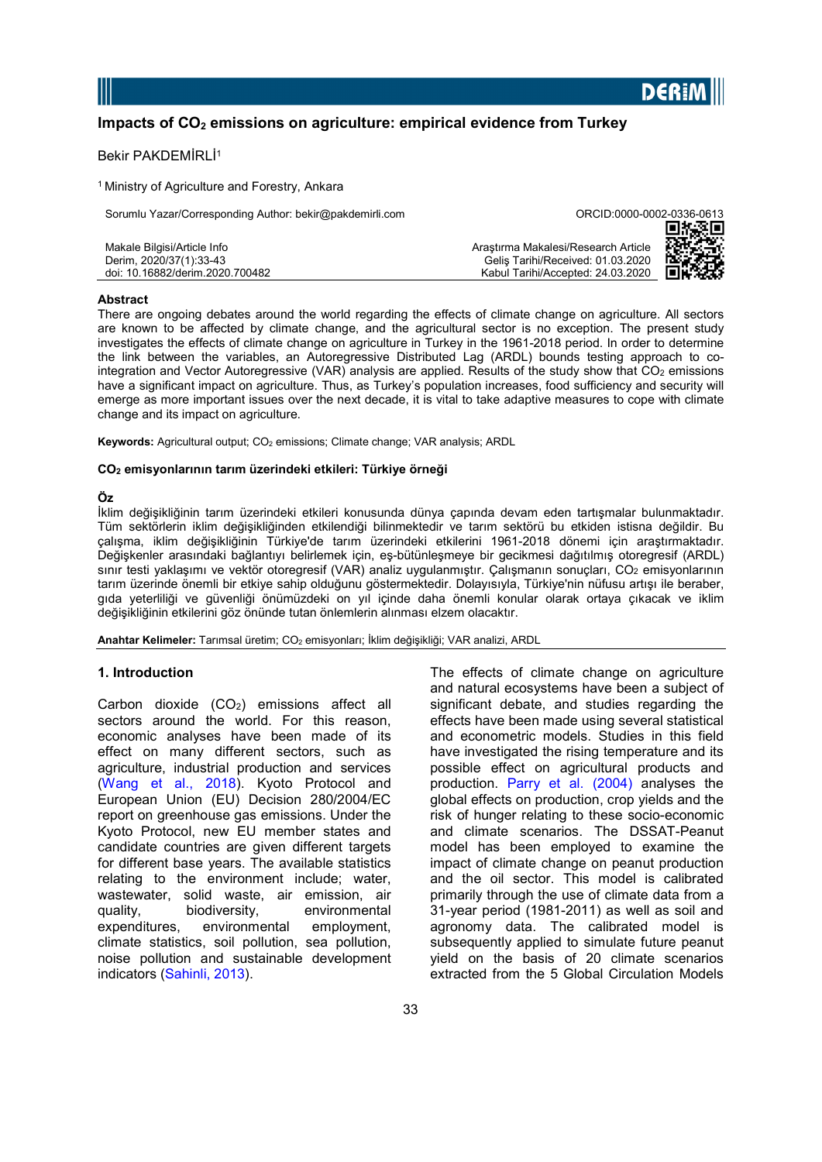

# Impacts of  $CO<sub>2</sub>$  emissions on agriculture: empirical evidence from Turkey

## Bekir PAKDEMİRLİ<sup>1</sup>

<sup>1</sup> Ministry of Agriculture and Forestry, Ankara

| Sorumlu Yazar/Corresponding Author: bekir@pakdemirli.com | ORCID:0000-0002-0336-0613           |      |
|----------------------------------------------------------|-------------------------------------|------|
|                                                          |                                     | 回線楽回 |
| Makale Bilgisi/Article Info                              | Arastırma Makalesi/Research Article | 激发   |
| Derim, 2020/37(1):33-43                                  | Gelis Tarihi/Received: 01.03.2020   |      |
| doi: 10.16882/derim.2020.700482                          | Kabul Tarihi/Accepted: 24.03.2020   |      |

#### **Abstract**

There are ongoing debates around the world regarding the effects of climate change on agriculture. All sectors are known to be affected by climate change, and the agricultural sector is no exception. The present study investigates the effects of climate change on agriculture in Turkey in the 1961-2018 period. In order to determine the link between the variables, an Autoregressive Distributed Lag (ARDL) bounds testing approach to cointegration and Vector Autoregressive (VAR) analysis are applied. Results of the study show that  $CO<sub>2</sub>$  emissions have a significant impact on agriculture. Thus, as Turkey's population increases, food sufficiency and security will emerge as more important issues over the next decade, it is vital to take adaptive measures to cope with climate change and its impact on agriculture.

**Keywords:** Agricultural output;  $CO<sub>2</sub>$  emissions; Climate change; VAR analysis; ARDL

#### CO2 emisyonlarının tarım üzerindeki etkileri: Türkiye örneği

#### Öz

İklim değişikliğinin tarım üzerindeki etkileri konusunda dünya çapında devam eden tartışmalar bulunmaktadır. Tüm sektörlerin iklim değişikliğinden etkilendiği bilinmektedir ve tarım sektörü bu etkiden istisna değildir. Bu çalışma, iklim değişikliğinin Türkiye'de tarım üzerindeki etkilerini 1961-2018 dönemi için araştırmaktadır. Değişkenler arasındaki bağlantıyı belirlemek için, eş-bütünleşmeye bir gecikmesi dağıtılmış otoregresif (ARDL) sınır testi yaklaşımı ve vektör otoregresif (VAR) analiz uygulanmıştır. Calışmanın sonuçları, CO<sub>2</sub> emisyonlarının tarım üzerinde önemli bir etkiye sahip olduğunu göstermektedir. Dolayısıyla, Türkiye'nin nüfusu artışı ile beraber, gıda yeterliliği ve güvenliği önümüzdeki on yıl içinde daha önemli konular olarak ortaya çıkacak ve iklim değişikliğinin etkilerini göz önünde tutan önlemlerin alınması elzem olacaktır.

Anahtar Kelimeler: Tarımsal üretim; CO<sub>2</sub> emisyonları; İklim değişikliği; VAR analizi, ARDL

#### 1. Introduction

Carbon dioxide  $(CO_2)$  emissions affect all sectors around the world. For this reason, economic analyses have been made of its effect on many different sectors, such as agriculture, industrial production and services (Wang et al., 2018). Kyoto Protocol and European Union (EU) Decision 280/2004/EC report on greenhouse gas emissions. Under the Kyoto Protocol, new EU member states and candidate countries are given different targets for different base years. The available statistics relating to the environment include; water, wastewater, solid waste, air emission, air quality, biodiversity, environmental expenditures, environmental employment, climate statistics, soil pollution, sea pollution, noise pollution and sustainable development indicators (Sahinli, 2013).

and natural ecosystems have been a subject of significant debate, and studies regarding the effects have been made using several statistical and econometric models. Studies in this field have investigated the rising temperature and its possible effect on agricultural products and production. Parry et al. (2004) analyses the global effects on production, crop yields and the risk of hunger relating to these socio-economic and climate scenarios. The DSSAT-Peanut model has been employed to examine the impact of climate change on peanut production and the oil sector. This model is calibrated primarily through the use of climate data from a 31-year period (1981-2011) as well as soil and agronomy data. The calibrated model is subsequently applied to simulate future peanut yield on the basis of 20 climate scenarios extracted from the 5 Global Circulation Models

The effects of climate change on agriculture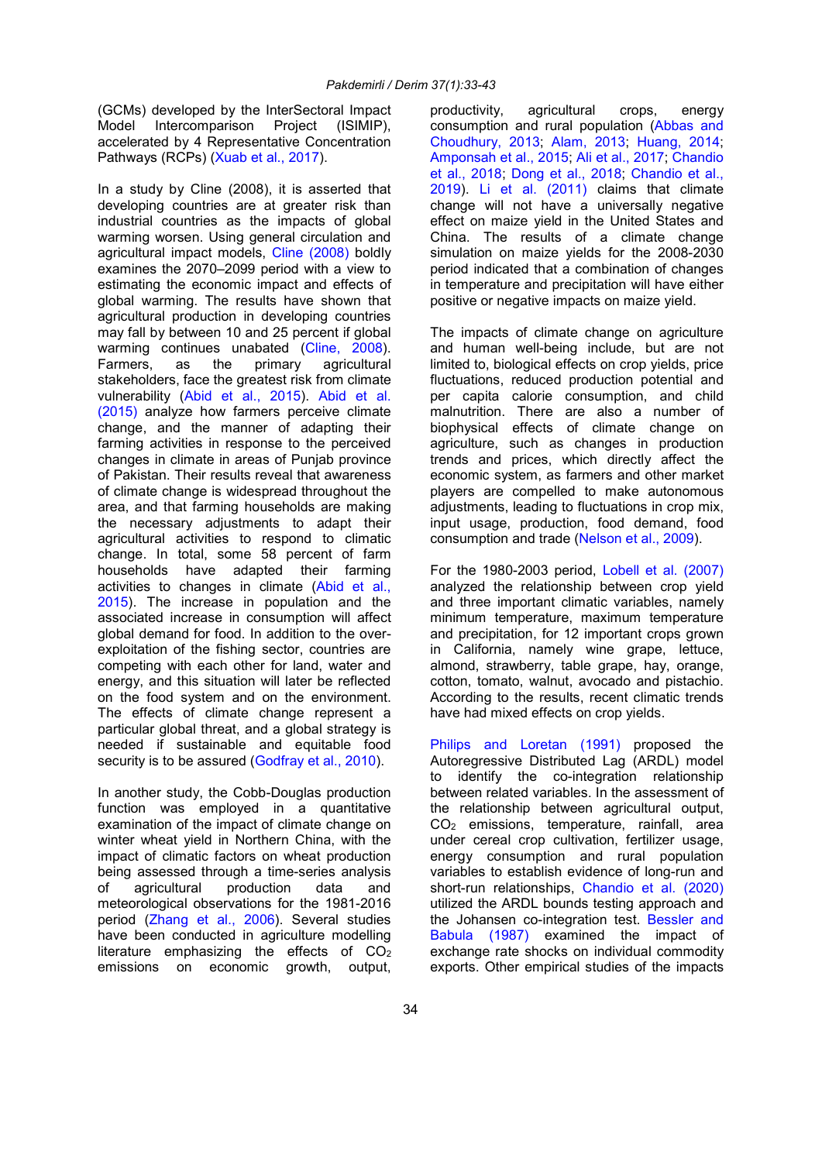(GCMs) developed by the InterSectoral Impact Model Intercomparison Project (ISIMIP), accelerated by 4 Representative Concentration Pathways (RCPs) (Xuab et al., 2017).

In a study by Cline (2008), it is asserted that developing countries are at greater risk than industrial countries as the impacts of global warming worsen. Using general circulation and agricultural impact models, Cline (2008) boldly examines the 2070–2099 period with a view to estimating the economic impact and effects of global warming. The results have shown that agricultural production in developing countries may fall by between 10 and 25 percent if global warming continues unabated (Cline, 2008). Farmers, as the primary agricultural stakeholders, face the greatest risk from climate vulnerability (Abid et al., 2015). Abid et al. (2015) analyze how farmers perceive climate change, and the manner of adapting their farming activities in response to the perceived changes in climate in areas of Punjab province of Pakistan. Their results reveal that awareness of climate change is widespread throughout the area, and that farming households are making the necessary adjustments to adapt their agricultural activities to respond to climatic change. In total, some 58 percent of farm households have adapted their farming activities to changes in climate (Abid et al., 2015). The increase in population and the associated increase in consumption will affect global demand for food. In addition to the overexploitation of the fishing sector, countries are competing with each other for land, water and energy, and this situation will later be reflected on the food system and on the environment. The effects of climate change represent a particular global threat, and a global strategy is needed if sustainable and equitable food security is to be assured (Godfray et al., 2010).

In another study, the Cobb-Douglas production function was employed in a quantitative examination of the impact of climate change on winter wheat yield in Northern China, with the impact of climatic factors on wheat production being assessed through a time-series analysis of agricultural production data and meteorological observations for the 1981-2016 period (Zhang et al., 2006). Several studies have been conducted in agriculture modelling literature emphasizing the effects of  $CO<sub>2</sub>$ emissions on economic growth, output, productivity, agricultural crops, energy consumption and rural population (Abbas and Choudhury, 2013; Alam, 2013; Huang, 2014; Amponsah et al., 2015; Ali et al., 2017; Chandio et al., 2018; Dong et al., 2018; Chandio et al., 2019). Li et al. (2011) claims that climate change will not have a universally negative effect on maize yield in the United States and China. The results of a climate change simulation on maize yields for the 2008-2030 period indicated that a combination of changes in temperature and precipitation will have either positive or negative impacts on maize yield.

The impacts of climate change on agriculture and human well-being include, but are not limited to, biological effects on crop yields, price fluctuations, reduced production potential and per capita calorie consumption, and child malnutrition. There are also a number of biophysical effects of climate change on agriculture, such as changes in production trends and prices, which directly affect the economic system, as farmers and other market players are compelled to make autonomous adjustments, leading to fluctuations in crop mix, input usage, production, food demand, food consumption and trade (Nelson et al., 2009).

For the 1980-2003 period, Lobell et al. (2007) analyzed the relationship between crop yield and three important climatic variables, namely minimum temperature, maximum temperature and precipitation, for 12 important crops grown in California, namely wine grape, lettuce, almond, strawberry, table grape, hay, orange, cotton, tomato, walnut, avocado and pistachio. According to the results, recent climatic trends have had mixed effects on crop yields.

Philips and Loretan (1991) proposed the Autoregressive Distributed Lag (ARDL) model to identify the co-integration relationship between related variables. In the assessment of the relationship between agricultural output, CO2 emissions, temperature, rainfall, area under cereal crop cultivation, fertilizer usage, energy consumption and rural population variables to establish evidence of long-run and short-run relationships, Chandio et al. (2020) utilized the ARDL bounds testing approach and the Johansen co-integration test. Bessler and Babula (1987) examined the impact of exchange rate shocks on individual commodity exports. Other empirical studies of the impacts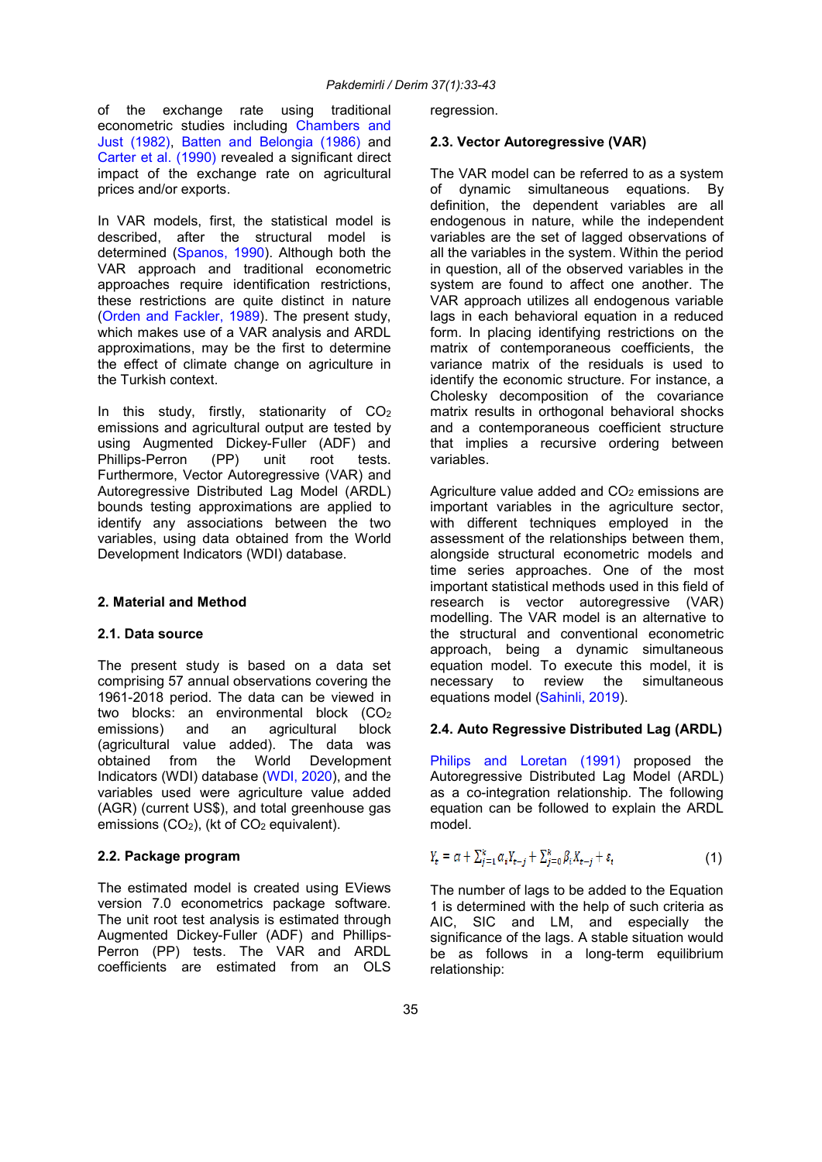of the exchange rate using traditional econometric studies including Chambers and Just (1982), Batten and Belongia (1986) and Carter et al. (1990) revealed a significant direct impact of the exchange rate on agricultural prices and/or exports.

In VAR models, first, the statistical model is described, after the structural model is determined (Spanos, 1990). Although both the VAR approach and traditional econometric approaches require identification restrictions, these restrictions are quite distinct in nature (Orden and Fackler, 1989). The present study, which makes use of a VAR analysis and ARDL approximations, may be the first to determine the effect of climate change on agriculture in the Turkish context.

In this study, firstly, stationarity of  $CO<sub>2</sub>$ emissions and agricultural output are tested by using Augmented Dickey-Fuller (ADF) and<br>Phillips-Perron (PP) unit root tests. Phillips-Perron (PP) unit root tests. Furthermore, Vector Autoregressive (VAR) and Autoregressive Distributed Lag Model (ARDL) bounds testing approximations are applied to identify any associations between the two variables, using data obtained from the World Development Indicators (WDI) database.

# 2. Material and Method

### 2.1. Data source

The present study is based on a data set comprising 57 annual observations covering the 1961-2018 period. The data can be viewed in two blocks: an environmental block (CO<sub>2</sub> emissions) and an agricultural block (agricultural value added). The data was obtained from the World Development Indicators (WDI) database (WDI, 2020), and the variables used were agriculture value added (AGR) (current US\$), and total greenhouse gas emissions  $(CO_2)$ , (kt of  $CO_2$  equivalent).

## 2.2. Package program

The estimated model is created using EViews version 7.0 econometrics package software. The unit root test analysis is estimated through Augmented Dickey-Fuller (ADF) and Phillips-Perron (PP) tests. The VAR and ARDL coefficients are estimated from an OLS regression.

## 2.3. Vector Autoregressive (VAR)

The VAR model can be referred to as a system of dynamic simultaneous equations. By definition, the dependent variables are all endogenous in nature, while the independent variables are the set of lagged observations of all the variables in the system. Within the period in question, all of the observed variables in the system are found to affect one another. The VAR approach utilizes all endogenous variable lags in each behavioral equation in a reduced form. In placing identifying restrictions on the matrix of contemporaneous coefficients, the variance matrix of the residuals is used to identify the economic structure. For instance, a Cholesky decomposition of the covariance matrix results in orthogonal behavioral shocks and a contemporaneous coefficient structure that implies a recursive ordering between variables.

Agriculture value added and  $CO<sub>2</sub>$  emissions are important variables in the agriculture sector, with different techniques employed in the assessment of the relationships between them, alongside structural econometric models and time series approaches. One of the most important statistical methods used in this field of research is vector autoregressive (VAR) modelling. The VAR model is an alternative to the structural and conventional econometric approach, being a dynamic simultaneous equation model. To execute this model, it is necessary to review the simultaneous equations model (Sahinli, 2019).

## 2.4. Auto Regressive Distributed Lag (ARDL)

Philips and Loretan (1991) proposed the Autoregressive Distributed Lag Model (ARDL) as a co-integration relationship. The following equation can be followed to explain the ARDL model.

$$
Y_{t} = \alpha + \sum_{j=1}^{k} \alpha_{i} Y_{t-j} + \sum_{j=0}^{k} \beta_{i} X_{t-j} + \varepsilon_{t}
$$
 (1)

The number of lags to be added to the Equation 1 is determined with the help of such criteria as AIC, SIC and LM, and especially the significance of the lags. A stable situation would be as follows in a long-term equilibrium relationship: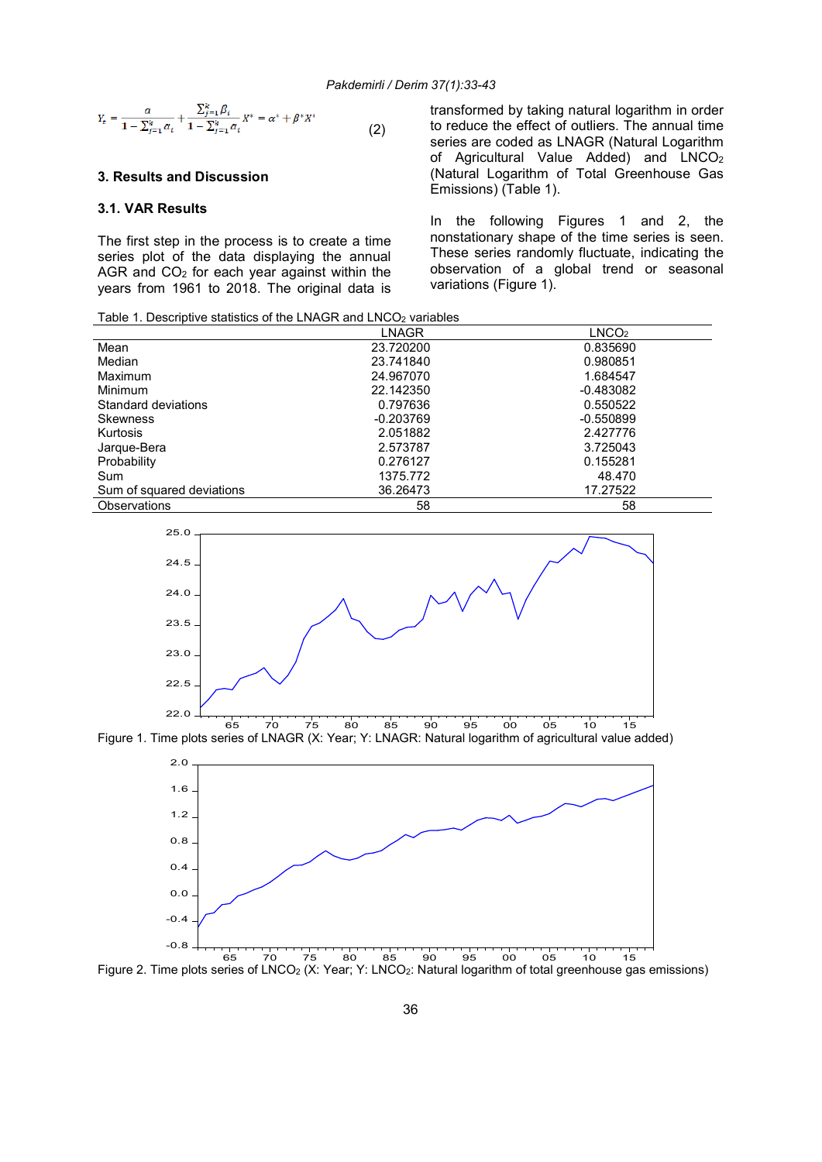$$
Y_{t} = \frac{\alpha}{1 - \sum_{j=1}^{k} \alpha_{i}} + \frac{\sum_{j=1}^{k} \beta_{i}}{1 - \sum_{j=1}^{k} \alpha_{i}} X^{*} = \alpha^{*} + \beta^{*} X^{*}
$$
(2)

# 3. Results and Discussion

# 3.1. VAR Results

The first step in the process is to create a time series plot of the data displaying the annual AGR and CO2 for each year against within the years from 1961 to 2018. The original data is transformed by taking natural logarithm in order to reduce the effect of outliers. The annual time series are coded as LNAGR (Natural Logarithm of Agricultural Value Added) and  $LNCO<sub>2</sub>$ (Natural Logarithm of Total Greenhouse Gas Emissions) (Table 1).

In the following Figures 1 and 2, the nonstationary shape of the time series is seen. These series randomly fluctuate, indicating the observation of a global trend or seasonal variations (Figure 1).

| Table 1. Descriptive statistics of the LNAGR and LNCO <sub>2</sub> variables |  |
|------------------------------------------------------------------------------|--|
|------------------------------------------------------------------------------|--|

|                           | <b>LNAGR</b> | LNCO <sub>2</sub> |
|---------------------------|--------------|-------------------|
| Mean                      | 23.720200    | 0.835690          |
| Median                    | 23.741840    | 0.980851          |
| <b>Maximum</b>            | 24.967070    | 1.684547          |
| <b>Minimum</b>            | 22.142350    | $-0.483082$       |
| Standard deviations       | 0.797636     | 0.550522          |
| <b>Skewness</b>           | $-0.203769$  | $-0.550899$       |
| <b>Kurtosis</b>           | 2.051882     | 2.427776          |
| Jarque-Bera               | 2.573787     | 3.725043          |
| Probability               | 0.276127     | 0.155281          |
| Sum                       | 1375.772     | 48.470            |
| Sum of squared deviations | 36.26473     | 17.27522          |
| <b>Observations</b>       | 58           | 58                |



Figure 1. Time plots series of LNAGR (X: Year; Y: LNAGR: Natural logarithm of agricultural value added)



Figure 2. Time plots series of LNCO<sub>2</sub> (X: Year; Y: LNCO<sub>2</sub>: Natural logarithm of total greenhouse gas emissions)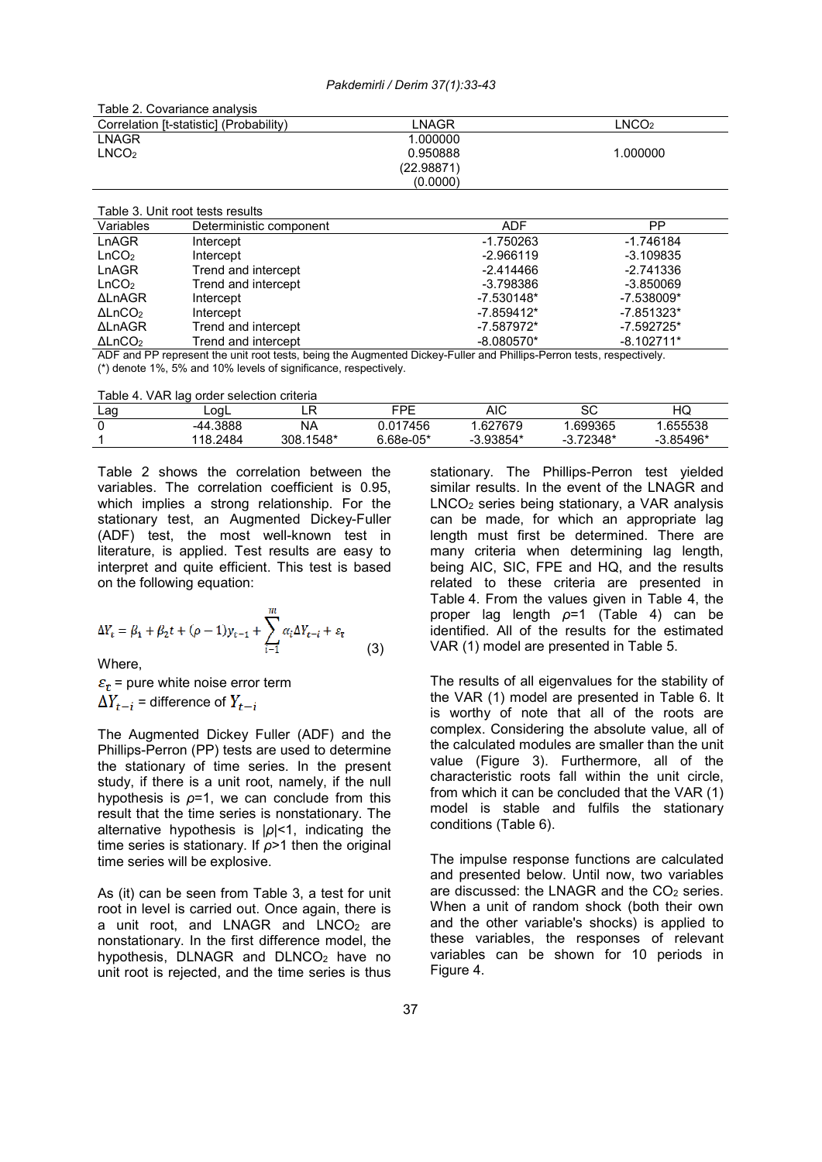Pakdemirli / Derim 37(1):33-43

| Table 2. Covariance analysis            |            |                   |
|-----------------------------------------|------------|-------------------|
| Correlation [t-statistic] (Probability) | LNAGR      | LNCO <sub>2</sub> |
| <b>LNAGR</b>                            | 1.000000   |                   |
| LNCO <sub>2</sub>                       | 0.950888   | 1.000000          |
|                                         | (22.98871) |                   |
|                                         | (0.0000)   |                   |
|                                         |            |                   |

| Table 3. Unit root tests results |                         |              |              |
|----------------------------------|-------------------------|--------------|--------------|
| Variables                        | Deterministic component | ADF          | PP           |
| LnAGR                            | Intercept               | $-1.750263$  | $-1.746184$  |
| LnCO <sub>2</sub>                | Intercept               | -2.966119    | $-3.109835$  |
| LnAGR                            | Trend and intercept     | -2.414466    | $-2.741336$  |
| LnCO <sub>2</sub>                | Trend and intercept     | -3.798386    | $-3.850069$  |
| <b>ALnAGR</b>                    | Intercept               | $-7.530148*$ | $-7.538009*$ |
| $\Delta$ LnCO <sub>2</sub>       | Intercept               | $-7.859412*$ | $-7.851323*$ |
| <b>ALnAGR</b>                    | Trend and intercept     | $-7.587972*$ | $-7.592725*$ |
| $\Delta$ LnCO <sub>2</sub>       | Trend and intercept     | $-8.080570*$ | $-8.102711*$ |

ADF and PP represent the unit root tests, being the Augmented Dickey-Fuller and Phillips-Perron tests, respectively. (\*) denote 1%, 5% and 10% levels of significance, respectively.

Table 4. VAR lag order selection criteria

| Lag | LoaL     | - 1            | FÞF       | AIC        | SC      | HQ       |
|-----|----------|----------------|-----------|------------|---------|----------|
|     | -44.3888 | NA             | .017456   | .627679    | .699365 | .655538  |
|     | 118.2484 | .1548*<br>308. | 6.68e-05* | $3.93854*$ | .72348* | 3.85496* |

Table 2 shows the correlation between the variables. The correlation coefficient is 0.95, which implies a strong relationship. For the stationary test, an Augmented Dickey-Fuller (ADF) test, the most well-known test in literature, is applied. Test results are easy to interpret and quite efficient. This test is based on the following equation:

$$
\Delta Y_t = \beta_1 + \beta_2 t + (\rho - 1) y_{t-1} + \sum_{i=1}^m \alpha_i \Delta Y_{t-i} + \varepsilon_t
$$
\n(3)

Where,

 $\varepsilon_t$  = pure white noise error term  $\Delta Y_{t-i}$  = difference of  $Y_{t-i}$ 

The Augmented Dickey Fuller (ADF) and the Phillips-Perron (PP) tests are used to determine the stationary of time series. In the present study, if there is a unit root, namely, if the null hypothesis is  $\rho=1$ , we can conclude from this result that the time series is nonstationary. The alternative hypothesis is |ρ|<1, indicating the time series is stationary. If  $\rho$ >1 then the original time series will be explosive.

As (it) can be seen from Table 3, a test for unit root in level is carried out. Once again, there is a unit root, and LNAGR and LNCO<sub>2</sub> are nonstationary. In the first difference model, the hypothesis, DLNAGR and DLNCO<sub>2</sub> have no unit root is rejected, and the time series is thus stationary. The Phillips-Perron test yielded similar results. In the event of the LNAGR and LNCO2 series being stationary, a VAR analysis can be made, for which an appropriate lag length must first be determined. There are many criteria when determining lag length, being AIC, SIC, FPE and HQ, and the results related to these criteria are presented in Table 4. From the values given in Table 4, the proper lag length  $p=1$  (Table 4) can be identified. All of the results for the estimated VAR (1) model are presented in Table 5.

The results of all eigenvalues for the stability of the VAR (1) model are presented in Table 6. It is worthy of note that all of the roots are complex. Considering the absolute value, all of the calculated modules are smaller than the unit value (Figure 3). Furthermore, all of the characteristic roots fall within the unit circle, from which it can be concluded that the VAR (1) model is stable and fulfils the stationary conditions (Table 6).

The impulse response functions are calculated and presented below. Until now, two variables are discussed: the LNAGR and the  $CO<sub>2</sub>$  series. When a unit of random shock (both their own and the other variable's shocks) is applied to these variables, the responses of relevant variables can be shown for 10 periods in Figure 4.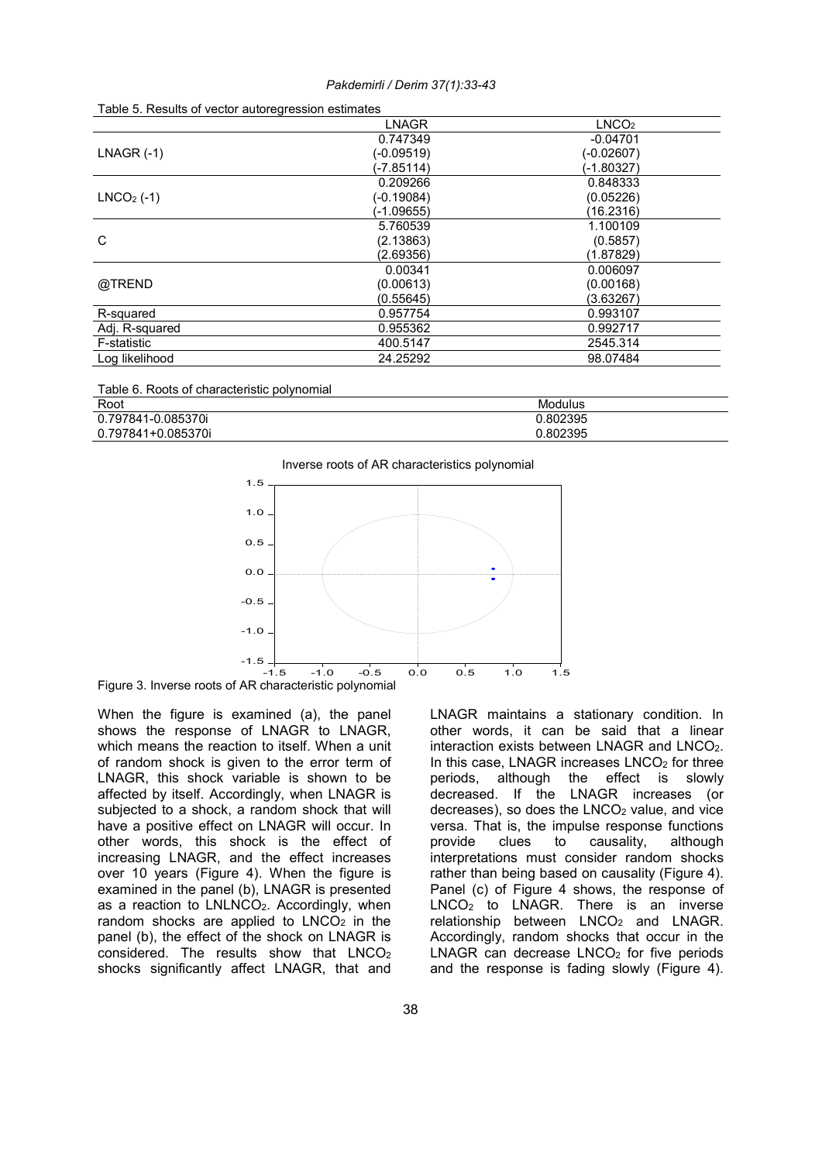| Table 5. INESURS OF VECTOR AUTOR CONTESSION ESTIMATES |            |                   |
|-------------------------------------------------------|------------|-------------------|
|                                                       | LNAGR      | LNCO <sub>2</sub> |
|                                                       | 0.747349   | $-0.04701$        |
| $LNAGR$ (-1)                                          | (-0.09519) | (-0.02607)        |
|                                                       | (-7.85114) | (-1.80327)        |
|                                                       | 0.209266   | 0.848333          |
| $LNCO2$ (-1)                                          | (-0.19084) | (0.05226)         |
|                                                       | (-1.09655) | (16.2316)         |
|                                                       | 5.760539   | 1.100109          |
| C                                                     | (2.13863)  | (0.5857)          |
|                                                       | (2.69356)  | (1.87829)         |
|                                                       | 0.00341    | 0.006097          |
| @TREND                                                | (0.00613)  | (0.00168)         |
|                                                       | (0.55645)  | (3.63267)         |
| R-squared                                             | 0.957754   | 0.993107          |
| Adj. R-squared                                        | 0.955362   | 0.992717          |
| F-statistic                                           | 400.5147   | 2545.314          |
| Log likelihood                                        | 24.25292   | 98.07484          |
|                                                       |            |                   |

| Root               | Modulus |
|--------------------|---------|
| 0.797841-0.085370i | .802395 |
| 0.797841+0.085370i | .802395 |



Figure 3. Inverse roots of AR characteristic polynomial

When the figure is examined (a), the panel shows the response of LNAGR to LNAGR, which means the reaction to itself. When a unit of random shock is given to the error term of LNAGR, this shock variable is shown to be affected by itself. Accordingly, when LNAGR is subjected to a shock, a random shock that will have a positive effect on LNAGR will occur. In other words, this shock is the effect of increasing LNAGR, and the effect increases over 10 years (Figure 4). When the figure is examined in the panel (b), LNAGR is presented as a reaction to LNLNCO<sub>2</sub>. Accordingly, when random shocks are applied to  $LNCO<sub>2</sub>$  in the panel (b), the effect of the shock on LNAGR is  $\overline{\text{considered}}$ . The results show that LNCO<sub>2</sub> shocks significantly affect LNAGR, that and LNAGR maintains a stationary condition. In other words, it can be said that a linear interaction exists between LNAGR and LNCO2. In this case, LNAGR increases LNCO<sub>2</sub> for three periods, although the effect is slowly decreased. If the LNAGR increases (or  $decreases$ ), so does the LNCO<sub>2</sub> value, and vice versa. That is, the impulse response functions provide clues to causality, although interpretations must consider random shocks rather than being based on causality (Figure 4). Panel (c) of Figure 4 shows, the response of LNCO<sub>2</sub> to LNAGR. There is an inverse relationship between LNCO<sub>2</sub> and LNAGR. Accordingly, random shocks that occur in the  $LNAGR$  can decrease  $LNCO<sub>2</sub>$  for five periods and the response is fading slowly (Figure 4).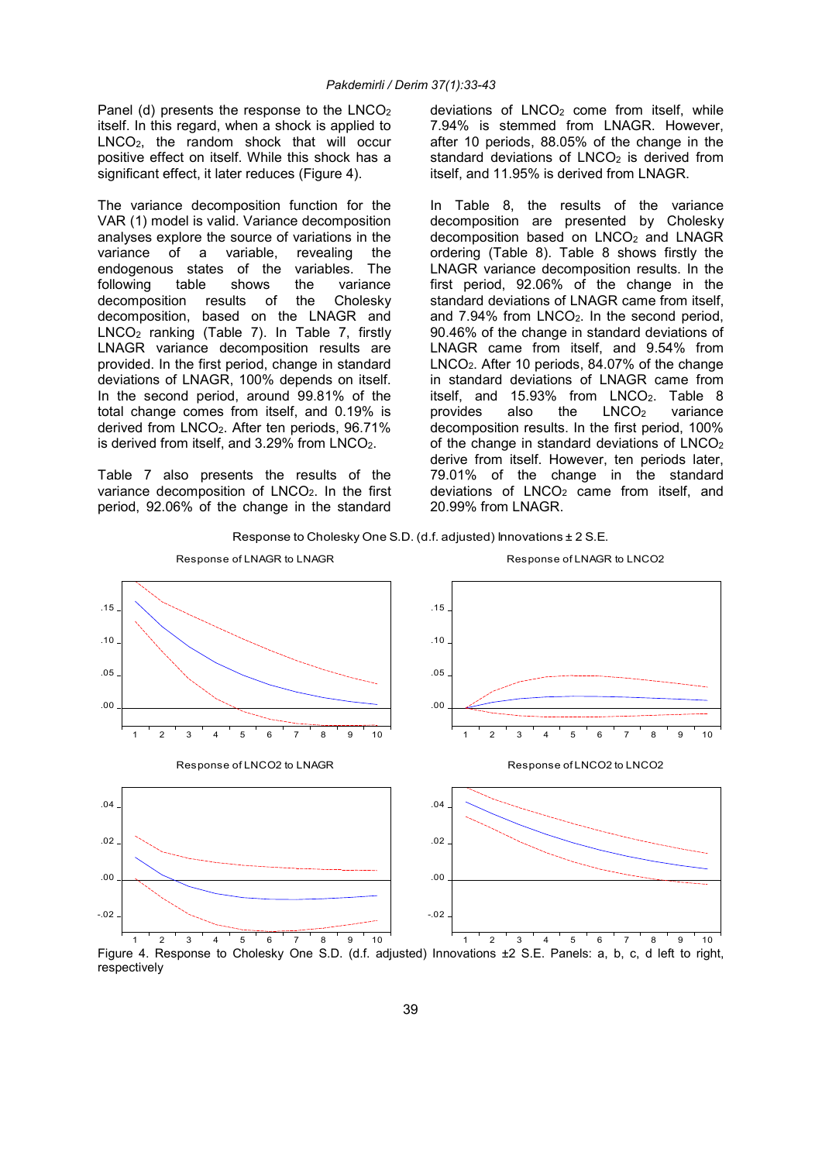Panel (d) presents the response to the LNCO<sub>2</sub> itself. In this regard, when a shock is applied to LNCO2, the random shock that will occur positive effect on itself. While this shock has a significant effect, it later reduces (Figure 4).

The variance decomposition function for the VAR (1) model is valid. Variance decomposition analyses explore the source of variations in the variance of a variable, revealing the endogenous states of the variables. The<br>following table shows the variance following table shows the variance decomposition results of the Cholesky decomposition, based on the LNAGR and LNCO2 ranking (Table 7). In Table 7, firstly LNAGR variance decomposition results are provided. In the first period, change in standard deviations of LNAGR, 100% depends on itself. In the second period, around 99.81% of the total change comes from itself, and 0.19% is derived from LNCO2. After ten periods, 96.71% is derived from itself, and 3.29% from LNCO<sub>2</sub>.

Table 7 also presents the results of the variance decomposition of LNCO<sub>2</sub>. In the first period, 92.06% of the change in the standard deviations of LNCO<sub>2</sub> come from itself, while 7.94% is stemmed from LNAGR. However, after 10 periods, 88.05% of the change in the standard deviations of  $LNCO<sub>2</sub>$  is derived from itself, and 11.95% is derived from LNAGR.

In Table 8, the results of the variance decomposition are presented by Cholesky decomposition based on  $LNCO<sub>2</sub>$  and  $LNAGR$ ordering (Table 8). Table 8 shows firstly the LNAGR variance decomposition results. In the first period, 92.06% of the change in the standard deviations of LNAGR came from itself, and 7.94% from LNCO2. In the second period, 90.46% of the change in standard deviations of LNAGR came from itself, and 9.54% from LNCO2. After 10 periods, 84.07% of the change in standard deviations of LNAGR came from itself, and  $15.93\%$  from LNCO<sub>2</sub>. Table 8 provides also the  $LNCO<sub>2</sub>$  variance decomposition results. In the first period, 100% of the change in standard deviations of LNCO<sub>2</sub> derive from itself. However, ten periods later, 79.01% of the change in the standard deviations of  $LNCO<sub>2</sub>$  came from itself, and 20.99% from LNAGR.





Figure 4. Response to Cholesky One S.D. (d.f. adjusted) Innovations ±2 S.E. Panels: a, b, c, d left to right, respectively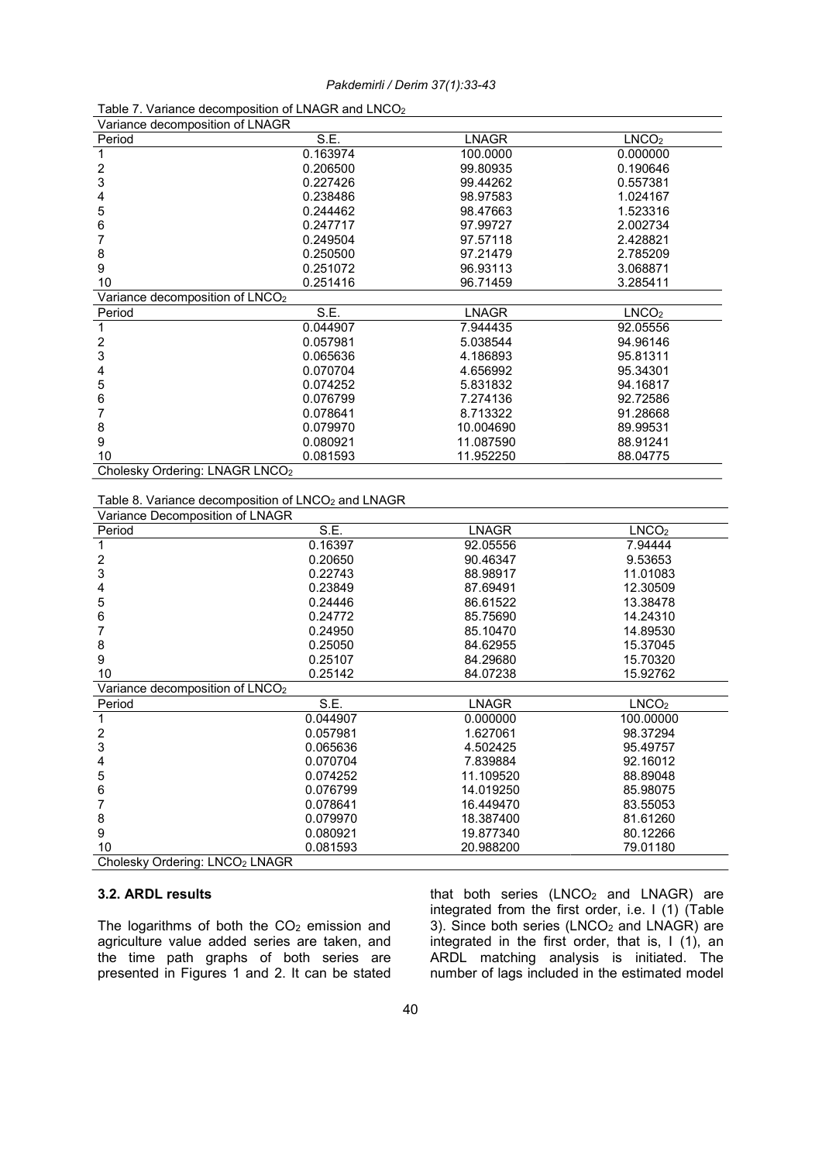| Variance decomposition of LNAGR                                |          |              |                   |
|----------------------------------------------------------------|----------|--------------|-------------------|
| Period                                                         | S.E.     | <b>LNAGR</b> | LNCO <sub>2</sub> |
| $\mathbf{1}$                                                   | 0.163974 | 100.0000     | 0.000000          |
| $\overline{\mathbf{c}}$                                        | 0.206500 | 99.80935     | 0.190646          |
| 3                                                              | 0.227426 | 99.44262     | 0.557381          |
| 4                                                              | 0.238486 | 98.97583     | 1.024167          |
| 5                                                              | 0.244462 | 98.47663     | 1.523316          |
| 6                                                              | 0.247717 | 97.99727     | 2.002734          |
| 7                                                              | 0.249504 | 97.57118     | 2.428821          |
| 8                                                              | 0.250500 | 97.21479     | 2.785209          |
| 9                                                              | 0.251072 | 96.93113     | 3.068871          |
| 10                                                             | 0.251416 | 96.71459     | 3.285411          |
| Variance decomposition of LNCO <sub>2</sub>                    |          |              |                   |
| Period                                                         | S.E      | <b>LNAGR</b> | LNCO <sub>2</sub> |
| 1                                                              | 0.044907 | 7.944435     | 92.05556          |
| $\overline{\mathbf{c}}$                                        | 0.057981 | 5.038544     | 94.96146          |
| 3                                                              | 0.065636 | 4.186893     | 95.81311          |
| 4                                                              | 0.070704 | 4.656992     | 95.34301          |
| 5                                                              | 0.074252 | 5.831832     | 94.16817          |
| 6                                                              | 0.076799 | 7.274136     | 92.72586          |
| 7                                                              | 0.078641 | 8.713322     | 91.28668          |
| 8                                                              | 0.079970 | 10.004690    | 89.99531          |
| 9                                                              | 0.080921 | 11.087590    | 88.91241          |
| 10                                                             | 0.081593 | 11.952250    | 88.04775          |
| Cholesky Ordering: LNAGR LNCO <sub>2</sub>                     |          |              |                   |
|                                                                |          |              |                   |
| Table 8. Variance decomposition of LNCO <sub>2</sub> and LNAGR |          |              |                   |
| Variance Decomposition of LNAGR                                |          |              |                   |
| Period                                                         | S.E.     | <b>LNAGR</b> | LNCO <sub>2</sub> |
| $\mathbf 1$                                                    | 0.16397  | 92.05556     | 7.94444           |
| $\overline{\mathbf{c}}$                                        | 0.20650  | 90.46347     | 9.53653           |
| 3                                                              | 0.22743  | 88.98917     | 11.01083          |
| 4                                                              | 0.23849  | 87.69491     | 12.30509          |
| 5                                                              | 0.24446  | 86.61522     | 13.38478          |
| 6                                                              | 0.24772  | 85.75690     | 14.24310          |
| 7                                                              | 0.24950  | 85.10470     | 14.89530          |
| 8                                                              | 0.25050  | 84.62955     | 15.37045          |
| 9                                                              | 0.25107  | 84.29680     | 15.70320          |
| 10                                                             | 0.25142  | 84.07238     | 15.92762          |
| Variance decomposition of LNCO <sub>2</sub>                    |          |              |                   |
| Period                                                         | S.E.     | <b>LNAGR</b> | LNCO <sub>2</sub> |
| $\mathbf{1}$                                                   | 0.044907 | 0.000000     | 100.00000         |
| $\boldsymbol{2}$                                               | 0.057981 | 1.627061     | 98.37294          |
| 3                                                              | 0.065636 | 4.502425     | 95.49757          |
| 4                                                              | 0.070704 | 7.839884     | 92.16012          |
| 5                                                              | 0.074252 | 11.109520    | 88.89048          |
| 6                                                              | 0.076799 | 14.019250    | 85.98075          |
| 7                                                              | 0.078641 | 16.449470    | 83.55053          |
| 8                                                              | 0.079970 | 18.387400    | 81.61260          |

| Table 7. Variance decomposition of LNAGR and LNCO <sub>2</sub> |
|----------------------------------------------------------------|
|----------------------------------------------------------------|

Cholesky Ordering: LNCO<sub>2</sub> LNAGR

# 3.2. ARDL results

The logarithms of both the  $CO<sub>2</sub>$  emission and agriculture value added series are taken, and the time path graphs of both series are presented in Figures 1 and 2. It can be stated

8 0.079970 18.387400<br>اور 19.877340 0.080921 19.877340

that both series  $(LNCO<sub>2</sub>$  and  $LNAGR)$  are integrated from the first order, i.e. I (1) (Table 3). Since both series (LNCO<sub>2</sub> and LNAGR) are integrated in the first order, that is, I (1), an ARDL matching analysis is initiated. The number of lags included in the estimated model

9 0.080921 19.877340 80.12266 10 0.081593 20.988200 79.01180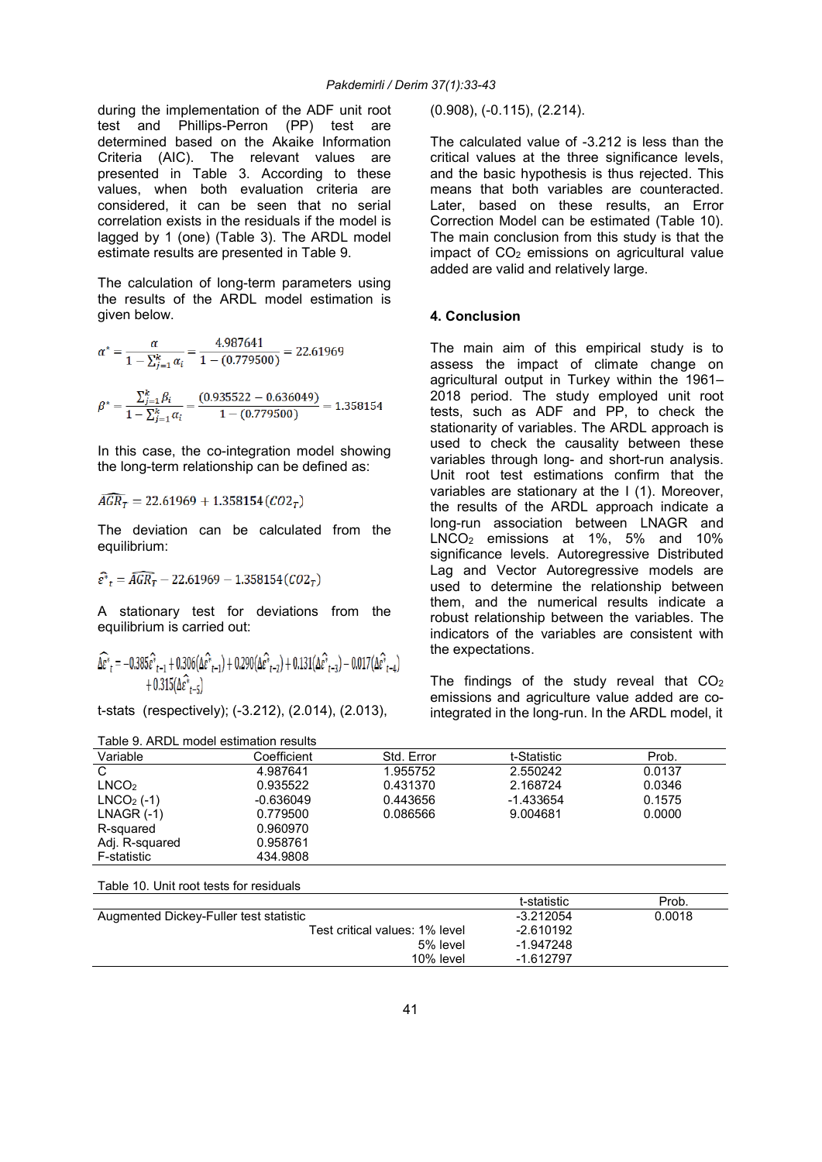during the implementation of the ADF unit root test and Phillips-Perron (PP) test are determined based on the Akaike Information Criteria (AIC). The relevant values are presented in Table 3. According to these values, when both evaluation criteria are considered, it can be seen that no serial correlation exists in the residuals if the model is lagged by 1 (one) (Table 3). The ARDL model estimate results are presented in Table 9.

The calculation of long-term parameters using the results of the ARDL model estimation is given below.

$$
\alpha^* = \frac{\alpha}{1 - \sum_{j=1}^k \alpha_i} = \frac{4.987641}{1 - (0.779500)} = 22.61969
$$

$$
\beta^* = \frac{\sum_{j=1}^{k} \beta_i}{1 - \sum_{j=1}^{k} \alpha_i} = \frac{(0.935522 - 0.636049)}{1 - (0.779500)} = 1.358154
$$

In this case, the co-integration model showing the long-term relationship can be defined as:

 $\widehat{AGR_T} = 22.61969 + 1.358154 (CO2_T)$ 

The deviation can be calculated from the equilibrium:

$$
\hat{\varepsilon}^* = \widehat{AGR_T} - 22.61969 - 1.358154 (CO2_T)
$$

Table 10. Unit root tests for residuals

A stationary test for deviations from the equilibrium is carried out:

$$
\begin{aligned} \widehat{\Delta \varepsilon^*}_{t}=&-0.385 \widehat{\varepsilon^*}_{t-1}+0.306(\Delta \widehat{\varepsilon^*}_{t-1})+0.290(\Delta \widehat{\varepsilon^*}_{t-2})+0.131(\Delta \widehat{\varepsilon^*}_{t-3})-0.017(\Delta \widehat{\varepsilon^*}_{t-4})\\ &+0.315(\Delta \widehat{\varepsilon^*}_{t-5}) \end{aligned}
$$

t-stats (respectively); (-3.212), (2.014), (2.013),

(0.908), (-0.115), (2.214).

The calculated value of -3.212 is less than the critical values at the three significance levels, and the basic hypothesis is thus rejected. This means that both variables are counteracted. Later, based on these results, an Error Correction Model can be estimated (Table 10). The main conclusion from this study is that the impact of  $CO<sub>2</sub>$  emissions on agricultural value added are valid and relatively large.

## 4. Conclusion

The main aim of this empirical study is to assess the impact of climate change on agricultural output in Turkey within the 1961– 2018 period. The study employed unit root tests, such as ADF and PP, to check the stationarity of variables. The ARDL approach is used to check the causality between these variables through long- and short-run analysis. Unit root test estimations confirm that the variables are stationary at the I (1). Moreover, the results of the ARDL approach indicate a long-run association between LNAGR and  $LNCO<sub>2</sub>$  emissions at 1%, 5% and 10% significance levels. Autoregressive Distributed Lag and Vector Autoregressive models are used to determine the relationship between them, and the numerical results indicate a robust relationship between the variables. The indicators of the variables are consistent with the expectations.

The findings of the study reveal that CO<sub>2</sub> emissions and agriculture value added are cointegrated in the long-run. In the ARDL model, it

| Table 9. ARDL model estimation results |             |            |             |        |  |  |
|----------------------------------------|-------------|------------|-------------|--------|--|--|
| Variable                               | Coefficient | Std. Error | t-Statistic | Prob.  |  |  |
| C                                      | 4.987641    | 1.955752   | 2.550242    | 0.0137 |  |  |
| LNCO <sub>2</sub>                      | 0.935522    | 0.431370   | 2.168724    | 0.0346 |  |  |
| $LNCO2$ (-1)                           | $-0.636049$ | 0.443656   | -1.433654   | 0.1575 |  |  |
| $LNAGR$ (-1)                           | 0.779500    | 0.086566   | 9.004681    | 0.0000 |  |  |
| R-squared                              | 0.960970    |            |             |        |  |  |
| Adj. R-squared                         | 0.958761    |            |             |        |  |  |
| F-statistic                            | 434.9808    |            |             |        |  |  |
|                                        |             |            |             |        |  |  |

| Table To. Only 1996 tools for Testagals |             |        |
|-----------------------------------------|-------------|--------|
|                                         | t-statistic | Prob.  |
| Augmented Dickey-Fuller test statistic  | $-3.212054$ | 0.0018 |
| Test critical values: 1% level          | $-2.610192$ |        |
| 5% level                                | -1.947248   |        |
| 10% level                               | $-1.612797$ |        |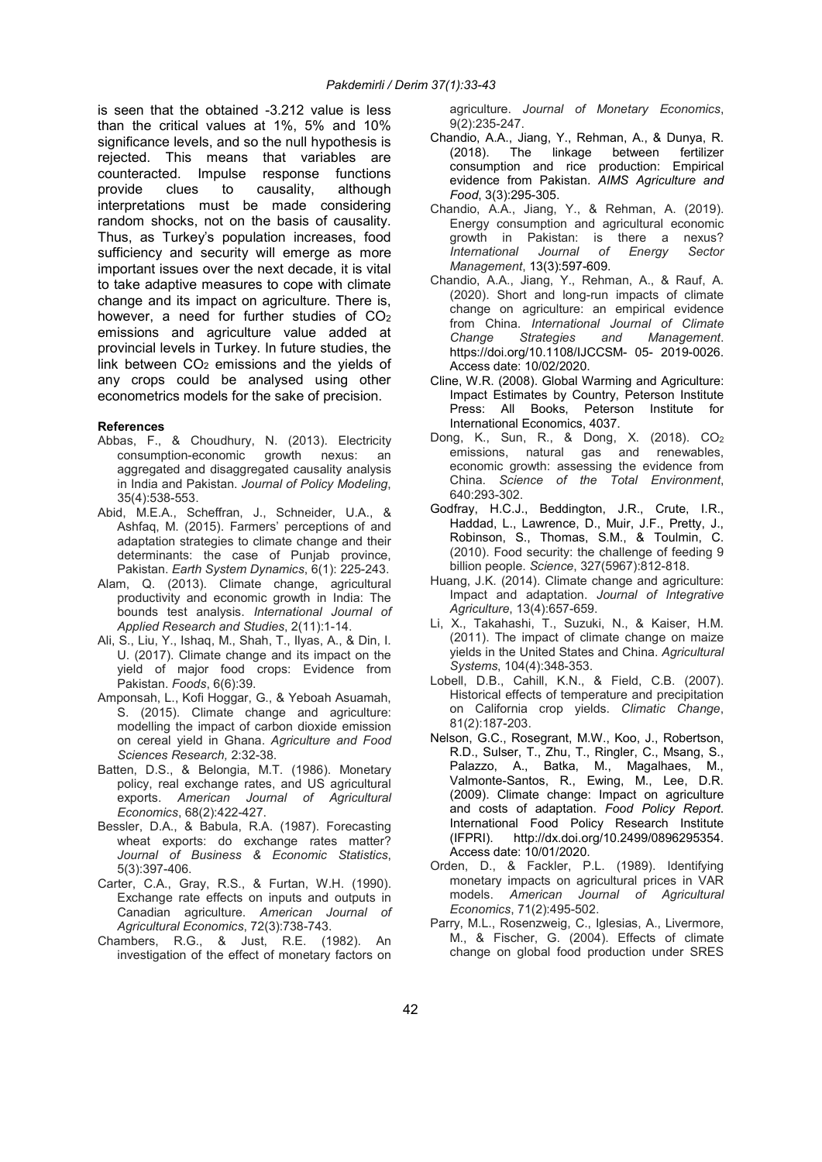is seen that the obtained -3.212 value is less than the critical values at 1%, 5% and 10% significance levels, and so the null hypothesis is rejected. This means that variables are counteracted. Impulse response functions provide clues to causality, although interpretations must be made considering random shocks, not on the basis of causality. Thus, as Turkey's population increases, food sufficiency and security will emerge as more important issues over the next decade, it is vital to take adaptive measures to cope with climate change and its impact on agriculture. There is, however, a need for further studies of CO<sub>2</sub> emissions and agriculture value added at provincial levels in Turkey. In future studies, the link between  $CO<sub>2</sub>$  emissions and the vields of any crops could be analysed using other econometrics models for the sake of precision.

### References

- Abbas, F., & Choudhury, N. (2013). Electricity consumption-economic growth nexus: an aggregated and disaggregated causality analysis in India and Pakistan. Journal of Policy Modeling, 35(4):538-553.
- Abid, M.E.A., Scheffran, J., Schneider, U.A., & Ashfaq, M. (2015). Farmers' perceptions of and adaptation strategies to climate change and their determinants: the case of Punjab province, Pakistan. Earth System Dynamics, 6(1): 225-243.
- Alam, Q. (2013). Climate change, agricultural productivity and economic growth in India: The bounds test analysis. International Journal of Applied Research and Studies, 2(11):1-14.
- Ali, S., Liu, Y., Ishaq, M., Shah, T., Ilyas, A., & Din, I. U. (2017). Climate change and its impact on the yield of major food crops: Evidence from Pakistan. Foods, 6(6):39.
- Amponsah, L., Kofi Hoggar, G., & Yeboah Asuamah, S. (2015). Climate change and agriculture: modelling the impact of carbon dioxide emission on cereal yield in Ghana. Agriculture and Food Sciences Research, 2:32-38.
- Batten, D.S., & Belongia, M.T. (1986). Monetary policy, real exchange rates, and US agricultural exports. American Journal of Agricultural Economics, 68(2):422-427.
- Bessler, D.A., & Babula, R.A. (1987). Forecasting wheat exports: do exchange rates matter? Journal of Business & Economic Statistics, 5(3):397-406.
- Carter, C.A., Gray, R.S., & Furtan, W.H. (1990). Exchange rate effects on inputs and outputs in Canadian agriculture. American Journal of Agricultural Economics, 72(3):738-743.
- Chambers, R.G., & Just, R.E. (1982). An investigation of the effect of monetary factors on

agriculture. Journal of Monetary Economics, 9(2):235-247.

- Chandio, A.A., Jiang, Y., Rehman, A., & Dunya, R. (2018). The linkage between fertilizer consumption and rice production: Empirical evidence from Pakistan. AIMS Agriculture and Food, 3(3):295-305.
- Chandio, A.A., Jiang, Y., & Rehman, A. (2019). Energy consumption and agricultural economic growth in Pakistan: is there a nexus? International Journal of Energy Sector Management, 13(3):597-609.
- Chandio, A.A., Jiang, Y., Rehman, A., & Rauf, A. (2020). Short and long-run impacts of climate change on agriculture: an empirical evidence from China. *International Journal of Climate*<br>Change Strategies and Management. Change Strategies and Management. https://doi.org/10.1108/IJCCSM- 05- 2019-0026. Access date: 10/02/2020.
- Cline, W.R. (2008). Global Warming and Agriculture: Impact Estimates by Country, Peterson Institute Press: All Books, Peterson Institute for International Economics, 4037.
- Dong, K., Sun, R., & Dong, X. (2018). CO<sup>2</sup> emissions, natural gas and renewables, economic growth: assessing the evidence from China. Science of the Total Environment, 640:293-302.
- Godfray, H.C.J., Beddington, J.R., Crute, I.R., Haddad, L., Lawrence, D., Muir, J.F., Pretty, J., Robinson, S., Thomas, S.M., & Toulmin, C. (2010). Food security: the challenge of feeding 9 billion people. Science, 327(5967):812-818.
- Huang, J.K. (2014). Climate change and agriculture: Impact and adaptation. Journal of Integrative Agriculture, 13(4):657-659.
- Li, X., Takahashi, T., Suzuki, N., & Kaiser, H.M. (2011). The impact of climate change on maize yields in the United States and China. Agricultural Systems, 104(4):348-353.
- Lobell, D.B., Cahill, K.N., & Field, C.B. (2007). Historical effects of temperature and precipitation on California crop yields. Climatic Change, 81(2):187-203.
- Nelson, G.C., Rosegrant, M.W., Koo, J., Robertson, R.D., Sulser, T., Zhu, T., Ringler, C., Msang, S., Palazzo, A., Batka, M., Magalhaes, M., Valmonte-Santos, R., Ewing, M., Lee, D.R. (2009). Climate change: Impact on agriculture and costs of adaptation. Food Policy Report. International Food Policy Research Institute<br>(IFPRI). http://dx.doi.org/10.2499/0896295354. http://dx.doi.org/10.2499/0896295354. Access date: 10/01/2020.
- Orden, D., & Fackler, P.L. (1989). Identifying monetary impacts on agricultural prices in VAR models. American Journal of Agricultural Economics, 71(2):495-502.
- Parry, M.L., Rosenzweig, C., Iglesias, A., Livermore, M., & Fischer, G. (2004). Effects of climate change on global food production under SRES